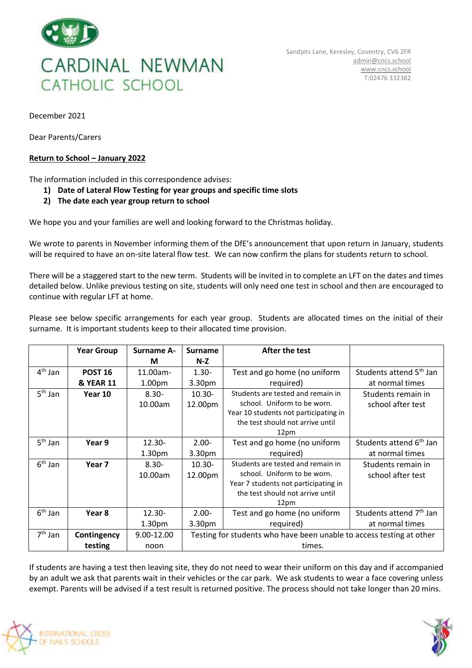

December 2021

Dear Parents/Carers

## **Return to School – January 2022**

The information included in this correspondence advises:

**1) Date of Lateral Flow Testing for year groups and specific time slots**

## **2) The date each year group return to school**

We hope you and your families are well and looking forward to the Christmas holiday.

We wrote to parents in November informing them of the DfE's announcement that upon return in January, students will be required to have an on-site lateral flow test. We can now confirm the plans for students return to school.

There will be a staggered start to the new term. Students will be invited in to complete an LFT on the dates and times detailed below. Unlike previous testing on site, students will only need one test in school and then are encouraged to continue with regular LFT at home.

Please see below specific arrangements for each year group. Students are allocated times on the initial of their surname. It is important students keep to their allocated time provision.

|           | <b>Year Group</b>    | <b>Surname A-</b>  | <b>Surname</b>                                                       | After the test                        |                                     |  |
|-----------|----------------------|--------------------|----------------------------------------------------------------------|---------------------------------------|-------------------------------------|--|
|           |                      | М                  | $N-Z$                                                                |                                       |                                     |  |
| $4th$ Jan | <b>POST 16</b>       | 11.00am-           | $1.30 -$                                                             | Test and go home (no uniform          | Students attend 5 <sup>th</sup> Jan |  |
|           | <b>&amp; YEAR 11</b> | 1.00pm             | 3.30pm                                                               | required)                             | at normal times                     |  |
| $5th$ Jan | Year 10              | $8.30 -$           | $10.30 -$                                                            | Students are tested and remain in     | Students remain in                  |  |
|           |                      | 10.00am            | 12.00pm                                                              | school. Uniform to be worn.           | school after test                   |  |
|           |                      |                    |                                                                      | Year 10 students not participating in |                                     |  |
|           |                      |                    |                                                                      | the test should not arrive until      |                                     |  |
|           |                      |                    |                                                                      | 12pm                                  |                                     |  |
| $5th$ Jan | Year 9               | $12.30 -$          | $2.00 -$                                                             | Test and go home (no uniform          | Students attend 6 <sup>th</sup> Jan |  |
|           |                      | 1.30 <sub>pm</sub> | 3.30 <sub>pm</sub>                                                   | required)                             | at normal times                     |  |
| $6th$ Jan | Year 7               | $8.30 -$           | $10.30 -$                                                            | Students are tested and remain in     | Students remain in                  |  |
|           |                      | 10.00am            | 12.00pm                                                              | school. Uniform to be worn.           | school after test                   |  |
|           |                      |                    |                                                                      | Year 7 students not participating in  |                                     |  |
|           |                      |                    |                                                                      | the test should not arrive until      |                                     |  |
|           |                      |                    |                                                                      | 12pm                                  |                                     |  |
| $6th$ Jan | Year 8               | $12.30 -$          | $2.00 -$                                                             | Test and go home (no uniform          | Students attend 7 <sup>th</sup> Jan |  |
|           |                      | 1.30 <sub>pm</sub> | 3.30pm                                                               | required)                             | at normal times                     |  |
| $7th$ Jan | Contingency          | 9.00-12.00         | Testing for students who have been unable to access testing at other |                                       |                                     |  |
|           | testing              | noon               | times.                                                               |                                       |                                     |  |

If students are having a test then leaving site, they do not need to wear their uniform on this day and if accompanied by an adult we ask that parents wait in their vehicles or the car park. We ask students to wear a face covering unless exempt. Parents will be advised if a test result is returned positive. The process should not take longer than 20 mins.